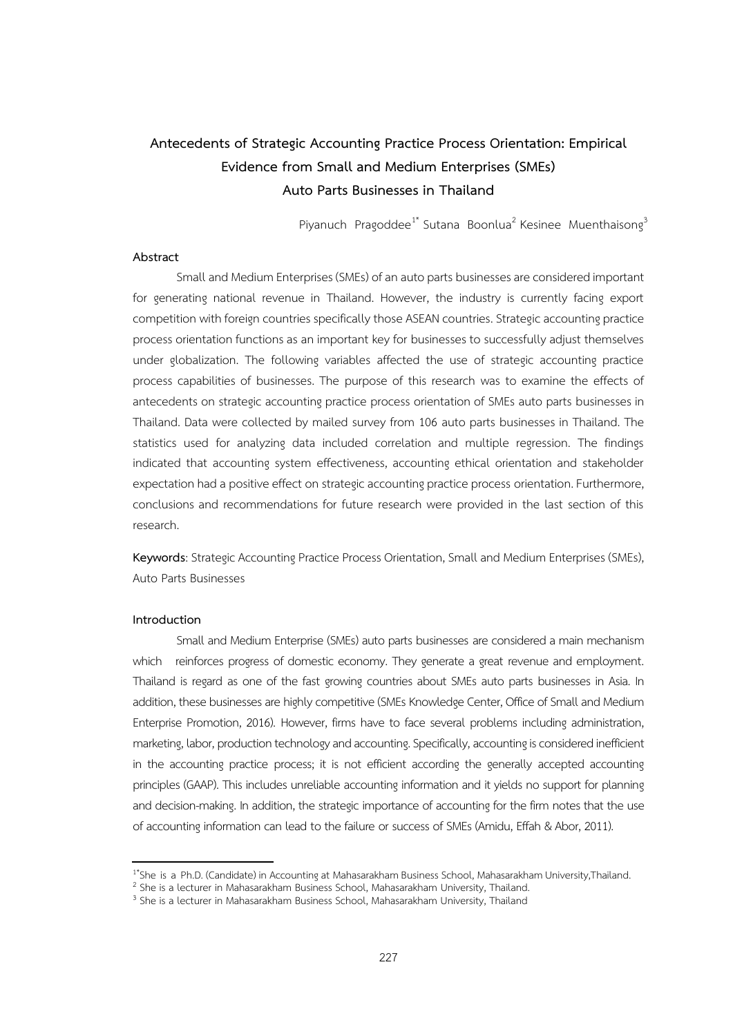## **Antecedents of Strategic Accounting Practice Process Orientation: Empirical Evidence from Small and Medium Enterprises (SMEs) Auto Parts Businesses in Thailand**

Piyanuch Pragoddee<sup>1\*</sup> Sutana Boonlua<sup>2</sup> Kesinee Muenthaisong<sup>3</sup>

## **Abstract**

Small and Medium Enterprises (SMEs) of an auto parts businesses are considered important for generating national revenue in Thailand. However, the industry is currently facing export competition with foreign countries specifically those ASEAN countries. Strategic accounting practice process orientation functions as an important key for businesses to successfully adjust themselves under globalization. The following variables affected the use of strategic accounting practice process capabilities of businesses. The purpose of this research was to examine the effects of antecedents on strategic accounting practice process orientation of SMEs auto parts businesses in Thailand. Data were collected by mailed survey from 106 auto parts businesses in Thailand. The statistics used for analyzing data included correlation and multiple regression. The findings indicated that accounting system effectiveness, accounting ethical orientation and stakeholder expectation had a positive effect on strategic accounting practice process orientation. Furthermore, conclusions and recommendations for future research were provided in the last section of this research.

**Keywords**: Strategic Accounting Practice Process Orientation, Small and Medium Enterprises (SMEs), Auto Parts Businesses

## **Introduction**

Small and Medium Enterprise (SMEs) auto parts businesses are considered a main mechanism which reinforces progress of domestic economy. They generate a great revenue and employment. Thailand is regard as one of the fast growing countries about SMEs auto parts businesses in Asia. In addition, these businesses are highly competitive (SMEs Knowledge Center, Office of Small and Medium Enterprise Promotion, 2016). However, firms have to face several problems including administration, marketing, labor, production technology and accounting. Specifically, accounting is considered inefficient in the accounting practice process; it is not efficient according the generally accepted accounting principles (GAAP). This includes unreliable accounting information and it yields no support for planning and decision-making. In addition, the strategic importance of accounting for the firm notes that the use of accounting information can lead to the failure or success of SMEs (Amidu, Effah & Abor, 2011).

<sup>1\*</sup> She is a Ph.D. (Candidate) in Accounting at Mahasarakham Business School, Mahasarakham University,Thailand.

<sup>2</sup> She is a lecturer in Mahasarakham Business School, Mahasarakham University, Thailand.

<sup>&</sup>lt;sup>3</sup> She is a lecturer in Mahasarakham Business School, Mahasarakham University, Thailand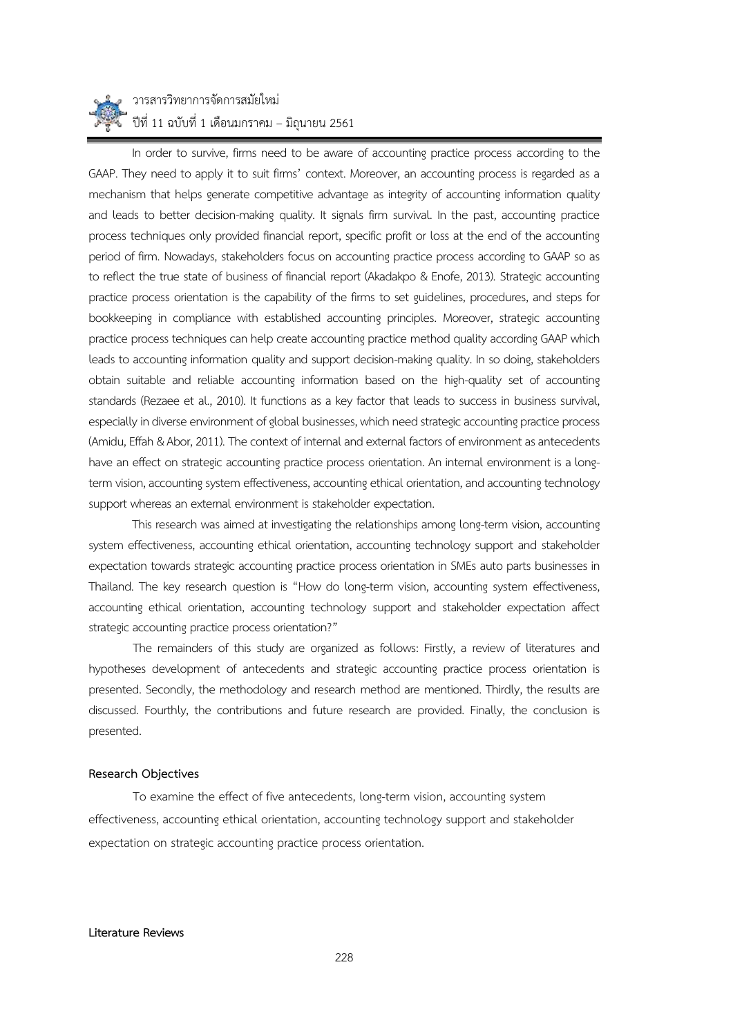

In order to survive, firms need to be aware of accounting practice process according to the GAAP. They need to apply it to suit firms' context. Moreover, an accounting process is regarded as a mechanism that helps generate competitive advantage as integrity of accounting information quality and leads to better decision-making quality. It signals firm survival. In the past, accounting practice process techniques only provided financial report, specific profit or loss at the end of the accounting period of firm. Nowadays, stakeholders focus on accounting practice process according to GAAP so as to reflect the true state of business of financial report (Akadakpo & Enofe, 2013). Strategic accounting practice process orientation is the capability of the firms to set guidelines, procedures, and steps for bookkeeping in compliance with established accounting principles. Moreover, strategic accounting practice process techniques can help create accounting practice method quality according GAAP which leads to accounting information quality and support decision-making quality. In so doing, stakeholders obtain suitable and reliable accounting information based on the high-quality set of accounting standards (Rezaee et al., 2010). It functions as a key factor that leads to success in business survival, especially in diverse environment of global businesses, which need strategic accounting practice process (Amidu, Effah & Abor, 2011). The context of internal and external factors of environment as antecedents have an effect on strategic accounting practice process orientation. An internal environment is a longterm vision, accounting system effectiveness, accounting ethical orientation, and accounting technology support whereas an external environment is stakeholder expectation.

This research was aimed at investigating the relationships among long-term vision, accounting system effectiveness, accounting ethical orientation, accounting technology support and stakeholder expectation towards strategic accounting practice process orientation in SMEs auto parts businesses in Thailand. The key research question is "How do long-term vision, accounting system effectiveness, accounting ethical orientation, accounting technology support and stakeholder expectation affect strategic accounting practice process orientation?"

The remainders of this study are organized as follows: Firstly, a review of literatures and hypotheses development of antecedents and strategic accounting practice process orientation is presented. Secondly, the methodology and research method are mentioned. Thirdly, the results are discussed. Fourthly, the contributions and future research are provided. Finally, the conclusion is presented.

## **Research Objectives**

To examine the effect of five antecedents, long-term vision, accounting system effectiveness, accounting ethical orientation, accounting technology support and stakeholder expectation on strategic accounting practice process orientation.

#### **Literature Reviews**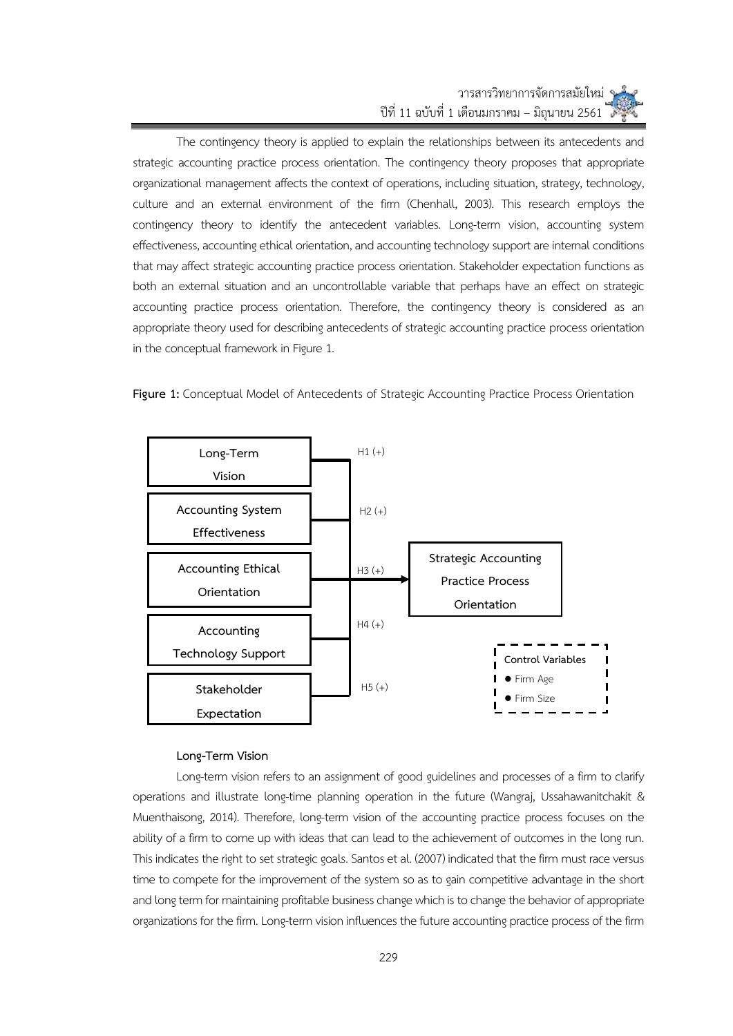## วารสารวิทยาการจัดการสมัยใหม่ ปีที่ 11 ฉบับที่ 1 เดือนมกราคม – มิถุนายน 2561

The contingency theory is applied to explain the relationships between its antecedents and strategic accounting practice process orientation. The contingency theory proposes that appropriate organizational management affects the context of operations, including situation, strategy, technology, culture and an external environment of the firm (Chenhall, 2003). This research employs the contingency theory to identify the antecedent variables. Long-term vision, accounting system effectiveness, accounting ethical orientation, and accounting technology support are internal conditions that may affect strategic accounting practice process orientation. Stakeholder expectation functions as both an external situation and an uncontrollable variable that perhaps have an effect on strategic accounting practice process orientation. Therefore, the contingency theory is considered as an appropriate theory used for describing antecedents of strategic accounting practice process orientation in the conceptual framework in Figure 1.





## **Long-Term Vision**

Long-term vision refers to an assignment of good guidelines and processes of a firm to clarify operations and illustrate long-time planning operation in the future (Wangraj, Ussahawanitchakit & Muenthaisong, 2014). Therefore, long-term vision of the accounting practice process focuses on the ability of a firm to come up with ideas that can lead to the achievement of outcomes in the long run. This indicates the right to set strategic goals. Santos et al. (2007) indicated that the firm must race versus time to compete for the improvement of the system so as to gain competitive advantage in the short and long term for maintaining profitable business change which is to change the behavior of appropriate organizations for the firm. Long-term vision influences the future accounting practice process of the firm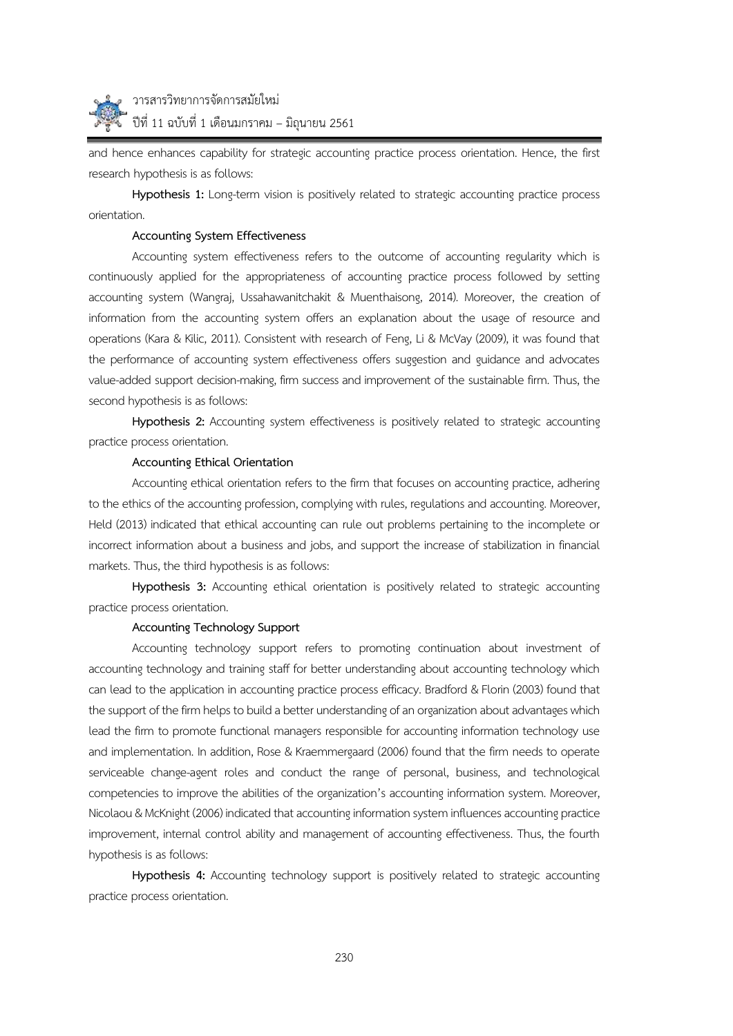

and hence enhances capability for strategic accounting practice process orientation. Hence, the first research hypothesis is as follows:

**Hypothesis 1:** Long-term vision is positively related to strategic accounting practice process orientation.

## **Accounting System Effectiveness**

Accounting system effectiveness refers to the outcome of accounting regularity which is continuously applied for the appropriateness of accounting practice process followed by setting accounting system (Wangraj, Ussahawanitchakit & Muenthaisong, 2014). Moreover, the creation of information from the accounting system offers an explanation about the usage of resource and operations (Kara & Kilic, 2011). Consistent with research of Feng, Li & McVay (2009), it was found that the performance of accounting system effectiveness offers suggestion and guidance and advocates value-added support decision-making, firm success and improvement of the sustainable firm. Thus, the second hypothesis is as follows:

**Hypothesis 2:** Accounting system effectiveness is positively related to strategic accounting practice process orientation.

## **Accounting Ethical Orientation**

Accounting ethical orientation refers to the firm that focuses on accounting practice, adhering to the ethics of the accounting profession, complying with rules, regulations and accounting. Moreover, Held (2013) indicated that ethical accounting can rule out problems pertaining to the incomplete or incorrect information about a business and jobs, and support the increase of stabilization in financial markets. Thus, the third hypothesis is as follows:

**Hypothesis 3:** Accounting ethical orientation is positively related to strategic accounting practice process orientation.

### **Accounting Technology Support**

Accounting technology support refers to promoting continuation about investment of accounting technology and training staff for better understanding about accounting technology which can lead to the application in accounting practice process efficacy. Bradford & Florin (2003) found that the support of the firm helps to build a better understanding of an organization about advantages which lead the firm to promote functional managers responsible for accounting information technology use and implementation. In addition, Rose & Kraemmergaard (2006) found that the firm needs to operate serviceable change-agent roles and conduct the range of personal, business, and technological competencies to improve the abilities of the organization's accounting information system. Moreover, Nicolaou & McKnight (2006) indicated that accounting information system influences accounting practice improvement, internal control ability and management of accounting effectiveness. Thus, the fourth hypothesis is as follows:

**Hypothesis 4:** Accounting technology support is positively related to strategic accounting practice process orientation.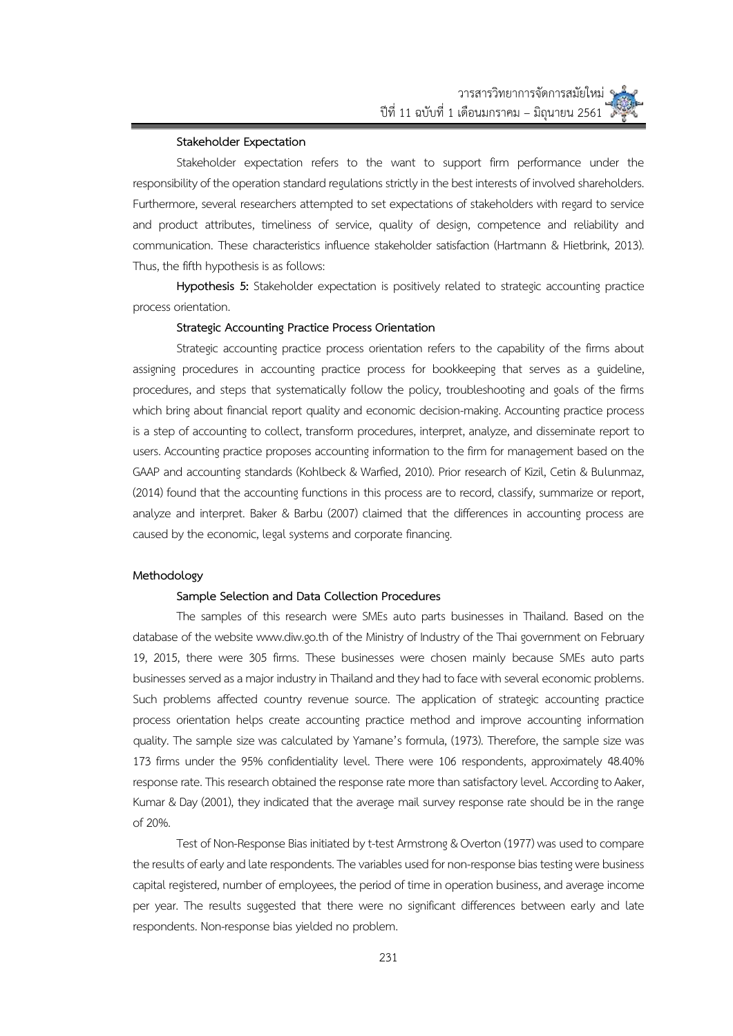#### **Stakeholder Expectation**

Stakeholder expectation refers to the want to support firm performance under the responsibility of the operation standard regulations strictly in the best interests of involved shareholders. Furthermore, several researchers attempted to set expectations of stakeholders with regard to service and product attributes, timeliness of service, quality of design, competence and reliability and communication. These characteristics influence stakeholder satisfaction (Hartmann & Hietbrink, 2013). Thus, the fifth hypothesis is as follows:

**Hypothesis 5:** Stakeholder expectation is positively related to strategic accounting practice process orientation.

#### **Strategic Accounting Practice Process Orientation**

Strategic accounting practice process orientation refers to the capability of the firms about assigning procedures in accounting practice process for bookkeeping that serves as a guideline, procedures, and steps that systematically follow the policy, troubleshooting and goals of the firms which bring about financial report quality and economic decision-making. Accounting practice process is a step of accounting to collect, transform procedures, interpret, analyze, and disseminate report to users. Accounting practice proposes accounting information to the firm for management based on the GAAP and accounting standards (Kohlbeck & Warfied, 2010). Prior research of Kizil, Cetin & Bulunmaz, (2014) found that the accounting functions in this process are to record, classify, summarize or report, analyze and interpret. Baker & Barbu (2007) claimed that the differences in accounting process are caused by the economic, legal systems and corporate financing.

#### **Methodology**

#### **Sample Selection and Data Collection Procedures**

The samples of this research were SMEs auto parts businesses in Thailand. Based on the database of the website www.diw.go.th of the Ministry of Industry of the Thai government on February 19, 2015, there were 305 firms. These businesses were chosen mainly because SMEs auto parts businesses served as a major industry in Thailand and they had to face with several economic problems. Such problems affected country revenue source. The application of strategic accounting practice process orientation helps create accounting practice method and improve accounting information quality. The sample size was calculated by Yamane's formula, (1973). Therefore, the sample size was 173 firms under the 95% confidentiality level. There were 106 respondents, approximately 48.40% response rate. This research obtained the response rate more than satisfactory level. According to Aaker, Kumar & Day (2001), they indicated that the average mail survey response rate should be in the range of 20%.

Test of Non-Response Bias initiated by t-test Armstrong & Overton (1977) was used to compare the results of early and late respondents. The variables used for non-response bias testing were business capital registered, number of employees, the period of time in operation business, and average income per year. The results suggested that there were no significant differences between early and late respondents. Non-response bias yielded no problem.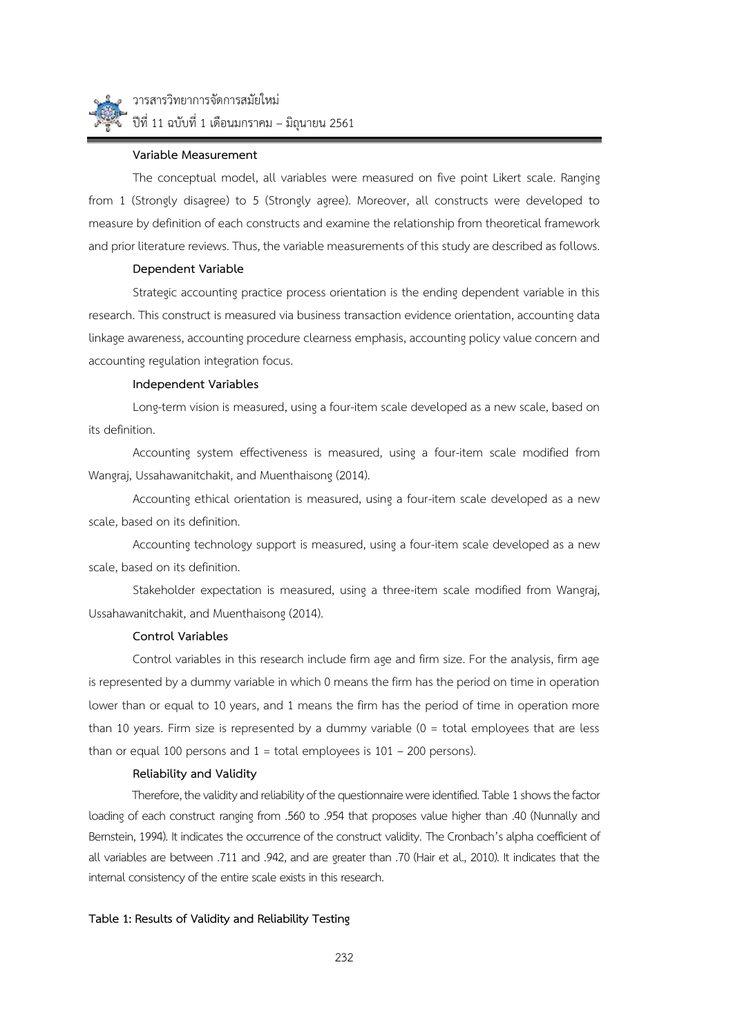

## **Variable Measurement**

The conceptual model, all variables were measured on five point Likert scale. Ranging from 1 (Strongly disagree) to 5 (Strongly agree). Moreover, all constructs were developed to measure by definition of each constructs and examine the relationship from theoretical framework and prior literature reviews. Thus, the variable measurements of this study are described as follows.

#### **Dependent Variable**

Strategic accounting practice process orientation is the ending dependent variable in this research. This construct is measured via business transaction evidence orientation, accounting data linkage awareness, accounting procedure clearness emphasis, accounting policy value concern and accounting regulation integration focus.

## **Independent Variables**

Long-term vision is measured, using a four-item scale developed as a new scale, based on its definition.

Accounting system effectiveness is measured, using a four-item scale modified from Wangraj, Ussahawanitchakit, and Muenthaisong (2014).

Accounting ethical orientation is measured, using a four-item scale developed as a new scale, based on its definition.

Accounting technology support is measured, using a four-item scale developed as a new scale, based on its definition.

Stakeholder expectation is measured, using a three-item scale modified from Wangraj, Ussahawanitchakit, and Muenthaisong (2014).

## **Control Variables**

Control variables in this research include firm age and firm size. For the analysis, firm age is represented by a dummy variable in which 0 means the firm has the period on time in operation lower than or equal to 10 years, and 1 means the firm has the period of time in operation more than 10 years. Firm size is represented by a dummy variable (0 = total employees that are less than or equal 100 persons and  $1 =$  total employees is  $101 - 200$  persons).

#### **Reliability and Validity**

Therefore, the validity and reliability of the questionnaire were identified. Table 1 shows the factor loading of each construct ranging from .560 to .954 that proposes value higher than .40 (Nunnally and Bernstein, 1994). It indicates the occurrence of the construct validity. The Cronbach's alpha coefficient of all variables are between .711 and .942, and are greater than .70 (Hair et al., 2010). It indicates that the internal consistency of the entire scale exists in this research.

#### **Table 1: Results of Validity and Reliability Testing**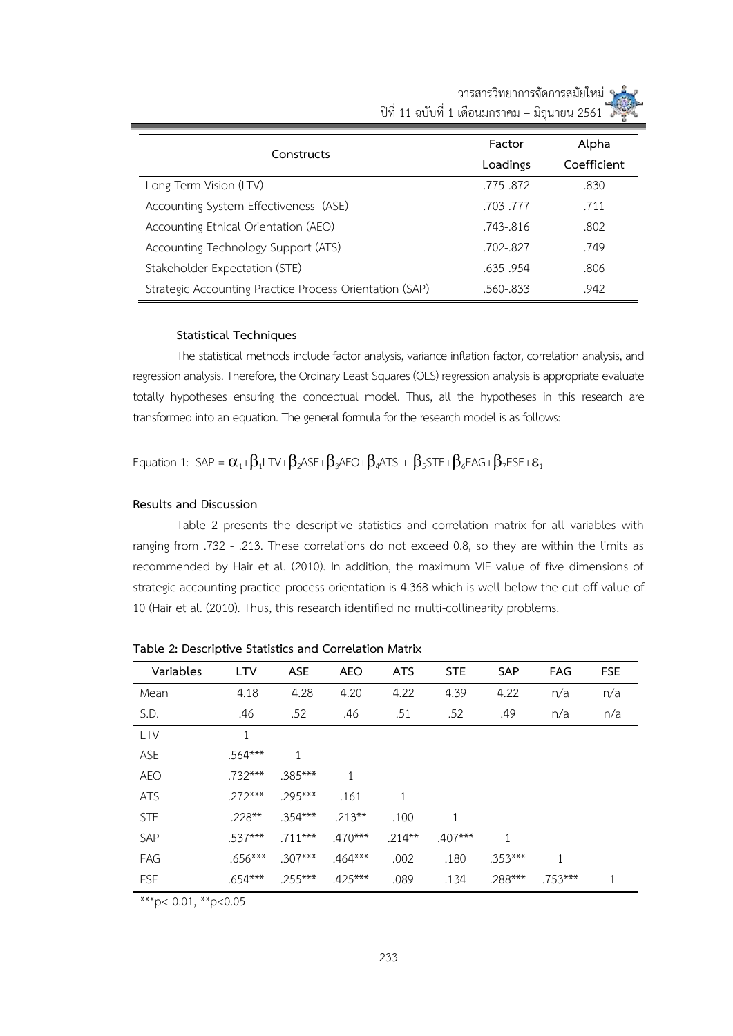|                                                         | Factor       | Alpha       |
|---------------------------------------------------------|--------------|-------------|
| Constructs                                              | Loadings     | Coefficient |
| Long-Term Vision (LTV)                                  | .775-.872    | .830        |
| Accounting System Effectiveness (ASE)                   | .703-.777    | .711        |
| Accounting Ethical Orientation (AEO)                    | .743-.816    | .802        |
| Accounting Technology Support (ATS)                     | .702-.827    | .749        |
| Stakeholder Expectation (STE)                           | .635-.954    | .806        |
| Strategic Accounting Practice Process Orientation (SAP) | $.560 - 833$ | .942        |

 วารสารวิทยาการจัดการสมัยใหม่ ปีที่ 11 ฉบับที่ 1 เดือนมกราคม – มิถุนายน 2561

## **Statistical Techniques**

The statistical methods include factor analysis, variance inflation factor, correlation analysis, and regression analysis. Therefore, the Ordinary Least Squares (OLS) regression analysis is appropriate evaluate totally hypotheses ensuring the conceptual model. Thus, all the hypotheses in this research are transformed into an equation. The general formula for the research model is as follows:

Equation 1: SAP =  $\alpha_1+\beta_1$ LTV+ $\beta_2$ ASE+ $\beta_3$ AEO+ $\beta_4$ ATS +  $\beta_5$ STE+ $\beta_6$ FAG+ $\beta_7$ FSE+ $\varepsilon_1$ 

## **Results and Discussion**

Table 2 presents the descriptive statistics and correlation matrix for all variables with ranging from .732 - .213. These correlations do not exceed 0.8, so they are within the limits as recommended by Hair et al. (2010). In addition, the maximum VIF value of five dimensions of strategic accounting practice process orientation is 4.368 which is well below the cut-off value of 10 (Hair et al. (2010). Thus, this research identified no multi-collinearity problems.

| Variables  | <b>LTV</b> | <b>ASE</b> | <b>AEO</b> | <b>ATS</b>   | <b>STE</b> | <b>SAP</b> | <b>FAG</b> | <b>FSE</b> |
|------------|------------|------------|------------|--------------|------------|------------|------------|------------|
| Mean       | 4.18       | 4.28       | 4.20       | 4.22         | 4.39       | 4.22       | n/a        | n/a        |
| S.D.       | .46        | .52        | .46        | .51          | .52        | .49        | n/a        | n/a        |
| <b>LTV</b> | 1          |            |            |              |            |            |            |            |
| ASE        | $.564***$  | 1          |            |              |            |            |            |            |
| <b>AEO</b> | $.732***$  | $.385***$  | 1          |              |            |            |            |            |
| <b>ATS</b> | $.272***$  | $295***$   | .161       | $\mathbf{1}$ |            |            |            |            |
| <b>STE</b> | $.228***$  | $.354***$  | $.213***$  | .100         | 1          |            |            |            |
| SAP        | $.537***$  | $.711***$  | $.470***$  | $.214***$    | $.407***$  | 1          |            |            |
| FAG        | $.656***$  | $.307***$  | $.464***$  | .002         | .180       | $.353***$  | 1          |            |
| <b>FSE</b> | $.654***$  | $.255***$  | $.425***$  | .089         | .134       | $.288***$  | $.753***$  | 1          |

**Table 2: Descriptive Statistics and Correlation Matrix**

\*\*\*p< 0.01,  $*$ p<0.05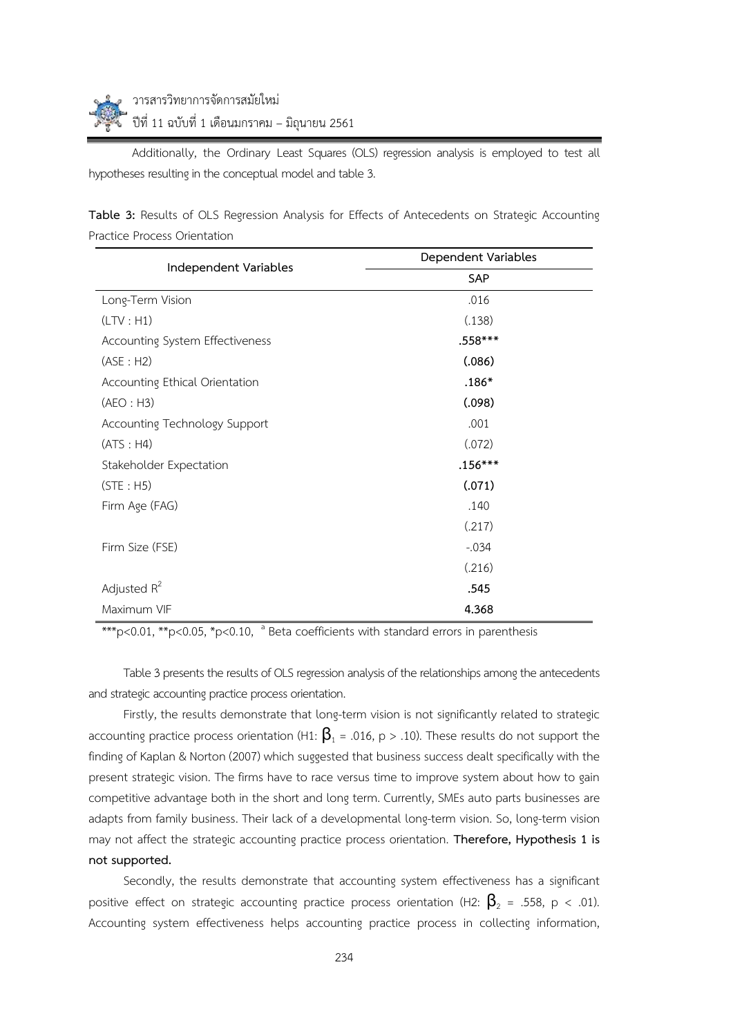Additionally, the Ordinary Least Squares (OLS) regression analysis is employed to test all hypotheses resulting in the conceptual model and table 3.

| Independent Variables           | Dependent Variables |  |  |  |
|---------------------------------|---------------------|--|--|--|
|                                 | SAP                 |  |  |  |
| Long-Term Vision                | .016                |  |  |  |
| (LTV : H1)                      | (.138)              |  |  |  |
| Accounting System Effectiveness | .558***             |  |  |  |
| (ASE : H2)                      | (.086)              |  |  |  |
| Accounting Ethical Orientation  | $.186*$             |  |  |  |
| (AEO : H3)                      | (.098)              |  |  |  |
| Accounting Technology Support   | .001                |  |  |  |
| (ATS : H4)                      | (.072)              |  |  |  |
| Stakeholder Expectation         | $.156***$           |  |  |  |
| (STE : H5)                      | (.071)              |  |  |  |
| Firm Age (FAG)                  | .140                |  |  |  |
|                                 | (.217)              |  |  |  |
| Firm Size (FSE)                 | $-0.034$            |  |  |  |
|                                 | (.216)              |  |  |  |
| Adjusted $R^2$                  | .545                |  |  |  |
| Maximum VIF                     | 4.368               |  |  |  |

**Table 3:** Results of OLS Regression Analysis for Effects of Antecedents on Strategic Accounting Practice Process Orientation

\*\*\*p<0.01, \*\*p<0.05, \*p<0.10,  $\frac{a}{b}$  Beta coefficients with standard errors in parenthesis

Table 3 presents the results of OLS regression analysis of the relationships among the antecedents and strategic accounting practice process orientation.

Firstly, the results demonstrate that long-term vision is not significantly related to strategic accounting practice process orientation (H1:  $\beta_1$  = .016, p > .10). These results do not support the finding of Kaplan & Norton (2007) which suggested that business success dealt specifically with the present strategic vision. The firms have to race versus time to improve system about how to gain competitive advantage both in the short and long term. Currently, SMEs auto parts businesses are adapts from family business. Their lack of a developmental long-term vision. So, long-term vision may not affect the strategic accounting practice process orientation. **Therefore, Hypothesis 1 is not supported.**

Secondly, the results demonstrate that accounting system effectiveness has a significant positive effect on strategic accounting practice process orientation (H2:  $\beta_2$  = .558, p < .01). Accounting system effectiveness helps accounting practice process in collecting information,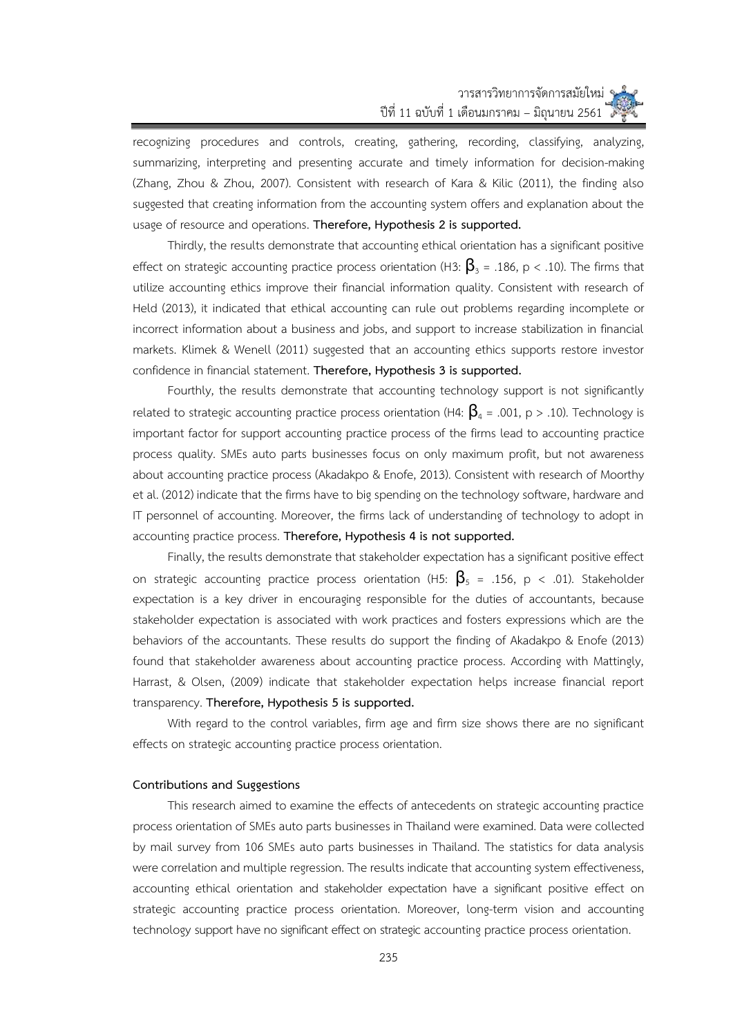recognizing procedures and controls, creating, gathering, recording, classifying, analyzing, summarizing, interpreting and presenting accurate and timely information for decision-making (Zhang, Zhou & Zhou, 2007). Consistent with research of Kara & Kilic (2011), the finding also suggested that creating information from the accounting system offers and explanation about the usage of resource and operations. **Therefore, Hypothesis 2 is supported.**

Thirdly, the results demonstrate that accounting ethical orientation has a significant positive effect on strategic accounting practice process orientation (H3:  $\beta$ <sub>3</sub> = .186, p < .10). The firms that utilize accounting ethics improve their financial information quality. Consistent with research of Held (2013), it indicated that ethical accounting can rule out problems regarding incomplete or incorrect information about a business and jobs, and support to increase stabilization in financial markets. Klimek & Wenell (2011) suggested that an accounting ethics supports restore investor confidence in financial statement. **Therefore, Hypothesis 3 is supported.**

Fourthly, the results demonstrate that accounting technology support is not significantly related to strategic accounting practice process orientation (H4:  $\beta_a$  = .001, p > .10). Technology is important factor for support accounting practice process of the firms lead to accounting practice process quality. SMEs auto parts businesses focus on only maximum profit, but not awareness about accounting practice process (Akadakpo & Enofe, 2013). Consistent with research of Moorthy et al. (2012) indicate that the firms have to big spending on the technology software, hardware and IT personnel of accounting. Moreover, the firms lack of understanding of technology to adopt in accounting practice process. **Therefore, Hypothesis 4 is not supported.**

Finally, the results demonstrate that stakeholder expectation has a significant positive effect on strategic accounting practice process orientation (H5:  $\beta_{5}$  = .156, p < .01). Stakeholder expectation is a key driver in encouraging responsible for the duties of accountants, because stakeholder expectation is associated with work practices and fosters expressions which are the behaviors of the accountants. These results do support the finding of Akadakpo & Enofe (2013) found that stakeholder awareness about accounting practice process. According with Mattingly, Harrast, & Olsen, (2009) indicate that stakeholder expectation helps increase financial report transparency. **Therefore, Hypothesis 5 is supported.** 

With regard to the control variables, firm age and firm size shows there are no significant effects on strategic accounting practice process orientation.

## **Contributions and Suggestions**

This research aimed to examine the effects of antecedents on strategic accounting practice process orientation of SMEs auto parts businesses in Thailand were examined. Data were collected by mail survey from 106 SMEs auto parts businesses in Thailand. The statistics for data analysis were correlation and multiple regression. The results indicate that accounting system effectiveness, accounting ethical orientation and stakeholder expectation have a significant positive effect on strategic accounting practice process orientation. Moreover, long-term vision and accounting technology support have no significant effect on strategic accounting practice process orientation.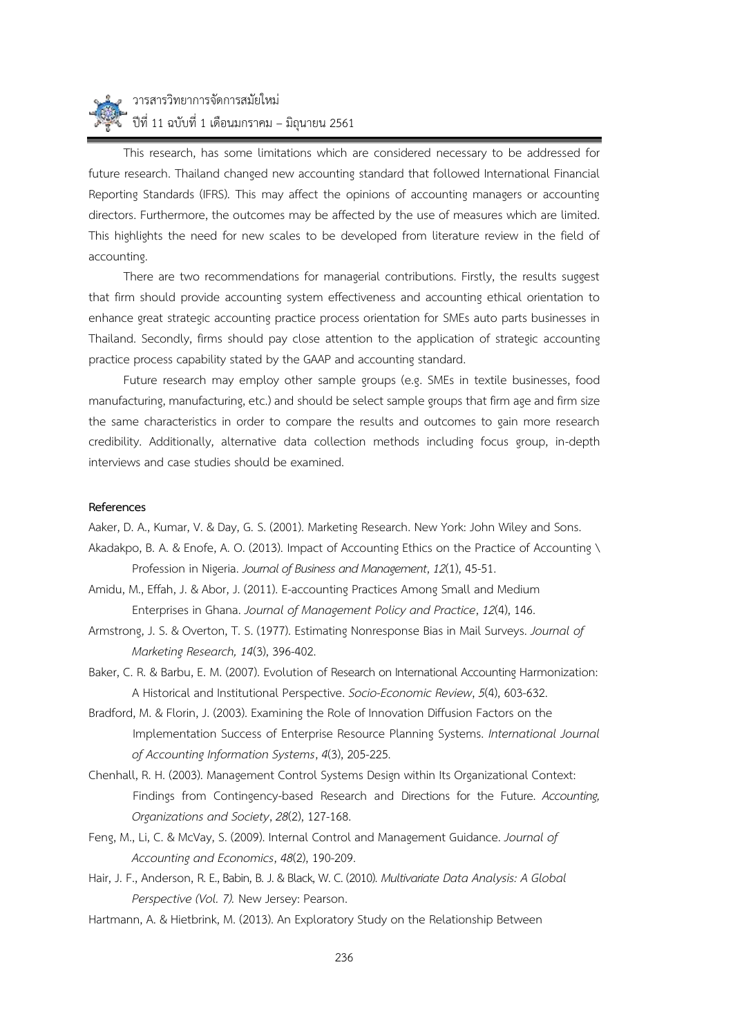# วารสารวิทยาการจัดการสมัยใหม่ ปีที่ 11 ฉบับที่ 1 เดือนมกราคม – มิถุนายน 2561

This research, has some limitations which are considered necessary to be addressed for future research. Thailand changed new accounting standard that followed International Financial Reporting Standards (IFRS). This may affect the opinions of accounting managers or accounting directors. Furthermore, the outcomes may be affected by the use of measures which are limited. This highlights the need for new scales to be developed from literature review in the field of accounting.

There are two recommendations for managerial contributions. Firstly, the results suggest that firm should provide accounting system effectiveness and accounting ethical orientation to enhance great strategic accounting practice process orientation for SMEs auto parts businesses in Thailand. Secondly, firms should pay close attention to the application of strategic accounting practice process capability stated by the GAAP and accounting standard.

Future research may employ other sample groups (e.g. SMEs in textile businesses, food manufacturing, manufacturing, etc.) and should be select sample groups that firm age and firm size the same characteristics in order to compare the results and outcomes to gain more research credibility. Additionally, alternative data collection methods including focus group, in-depth interviews and case studies should be examined.

## **References**

Aaker, D. A., Kumar, V. & Day, G. S. (2001). Marketing Research. New York: John Wiley and Sons.

- Akadakpo, B. A. & Enofe, A. O. (2013). Impact of Accounting Ethics on the Practice of Accounting \ Profession in Nigeria. *Journal of Business and Management*, *12*(1), 45-51.
- Amidu, M., Effah, J. & Abor, J. (2011). E-accounting Practices Among Small and Medium Enterprises in Ghana. *Journal of Management Policy and Practice*, *12*(4), 146.
- Armstrong, J. S. & Overton, T. S. (1977). Estimating Nonresponse Bias in Mail Surveys. *Journal of Marketing Research, 14*(3), 396-402.
- Baker, C. R. & Barbu, E. M. (2007). Evolution of Research on International Accounting Harmonization: A Historical and Institutional Perspective. *Socio-Economic Review*, *5*(4), 603-632.
- Bradford, M. & Florin, J. (2003). Examining the Role of Innovation Diffusion Factors on the Implementation Success of Enterprise Resource Planning Systems. *International Journal of Accounting Information Systems*, *4*(3), 205-225.
- Chenhall, R. H. (2003). Management Control Systems Design within Its Organizational Context: Findings from Contingency-based Research and Directions for the Future. *Accounting, Organizations and Society*, *28*(2), 127-168.
- Feng, M., Li, C. & McVay, S. (2009). Internal Control and Management Guidance. *Journal of Accounting and Economics*, *48*(2), 190-209.
- Hair, J. F., Anderson, R.E., Babin, B. J. & Black, W. C. (2010). *Multivariate Data Analysis: A Global Perspective (Vol. 7).* New Jersey: Pearson.
- Hartmann, A. & Hietbrink, M. (2013). An Exploratory Study on the Relationship Between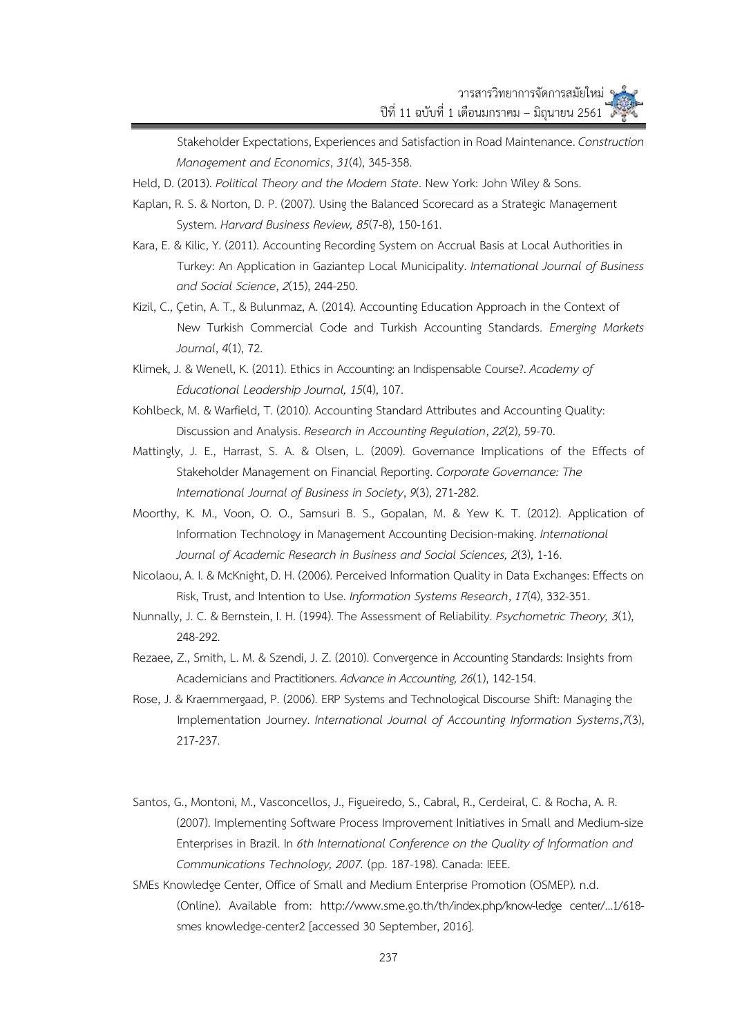Stakeholder Expectations, Experiences and Satisfaction in Road Maintenance. *Construction Management and Economics*, *31*(4), 345-358.

- Held, D. (2013). *Political Theory and the Modern State*. New York: John Wiley & Sons.
- Kaplan, R. S. & Norton, D. P. (2007). Using the Balanced Scorecard as a Strategic Management System. *Harvard Business Review, 85*(7-8), 150-161.
- Kara, E. & Kilic, Y. (2011). Accounting Recording System on Accrual Basis at Local Authorities in Turkey: An Application in Gaziantep Local Municipality. *International Journal of Business and Social Science*, *2*(15), 244-250.
- Kizil, C., Çetin, A. T., & Bulunmaz, A. (2014). Accounting Education Approach in the Context of New Turkish Commercial Code and Turkish Accounting Standards. *Emerging Markets Journal*, *4*(1), 72.
- Klimek, J. & Wenell, K. (2011). Ethics in Accounting: an Indispensable Course?. *Academy of Educational Leadership Journal, 15*(4), 107.
- Kohlbeck, M. & Warfield, T. (2010). Accounting Standard Attributes and Accounting Quality: Discussion and Analysis. *Research in Accounting Regulation*, *22*(2), 59-70.
- Mattingly, J. E., Harrast, S. A. & Olsen, L. (2009). Governance Implications of the Effects of Stakeholder Management on Financial Reporting. *Corporate Governance: The International Journal of Business in Society*, *9*(3), 271-282.
- Moorthy, K. M., Voon, O. O., Samsuri B. S., Gopalan, M. & Yew K. T. (2012). Application of Information Technology in Management Accounting Decision-making. *International Journal of Academic Research in Business and Social Sciences, 2*(3), 1-16.
- Nicolaou, A. I. & McKnight, D. H. (2006). Perceived Information Quality in Data Exchanges: Effects on Risk, Trust, and Intention to Use. *Information Systems Research*, *17*(4), 332-351.
- Nunnally, J. C. & Bernstein, I. H. (1994). The Assessment of Reliability. *Psychometric Theory, 3*(1), 248-292.
- Rezaee, Z., Smith, L. M. & Szendi, J. Z. (2010). Convergence in Accounting Standards: Insights from Academicians and Practitioners. *Advance in Accounting, 26*(1), 142-154.
- Rose, J. & Kraemmergaad, P. (2006). ERP Systems and Technological Discourse Shift: Managing the Implementation Journey. *International Journal of Accounting Information Systems*,*7*(3), 217-237.
- Santos, G., Montoni, M., Vasconcellos, J., Figueiredo, S., Cabral, R., Cerdeiral, C. & Rocha, A. R. (2007). Implementing Software Process Improvement Initiatives in Small and Medium-size Enterprises in Brazil. In *6th International Conference on the Quality of Information and Communications Technology, 2007.* (pp. 187-198). Canada: IEEE.
- SMEs Knowledge Center, Office of Small and Medium Enterprise Promotion (OSMEP). n.d. (Online). Available from: http://www.sme.go.th/th/index.php/know-ledge center/…1/618 smes knowledge-center2 [accessed 30 September, 2016].